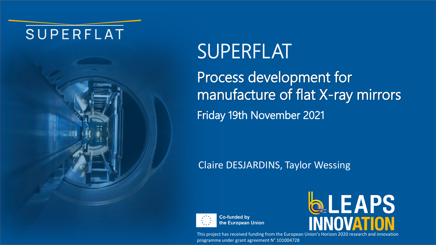# SUPERFLAT



# SUPERFLAT

Process development for manufacture of flat X-ray mirrors Friday 19th November 2021

# Claire DESJARDINS, Taylor Wessing



**Co-funded by** the European Union



This project has received funding from the European Union's Horizon 2020 research and innovation programme under grant agreement N° 101004728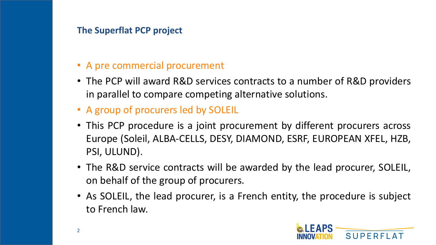#### **The Superflat PCP project**

# • A pre commercial procurement

- The PCP will award R&D services contracts to a number of R&D providers in parallel to compare competing alternative solutions.
- A group of procurers led by SOLEIL
- This PCP procedure is a joint procurement by different procurers across Europe (Soleil, ALBA-CELLS, DESY, DIAMOND, ESRF, EUROPEAN XFEL, HZB, PSI, ULUND).
- The R&D service contracts will be awarded by the lead procurer, SOLEIL, on behalf of the group of procurers.
- As SOLEIL, the lead procurer, is a French entity, the procedure is subject to French law.

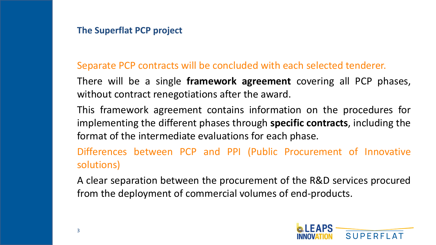#### **The Superflat PCP project**

# Separate PCP contracts will be concluded with each selected tenderer.

There will be a single **framework agreement** covering all PCP phases, without contract renegotiations after the award.

This framework agreement contains information on the procedures for implementing the different phases through **specific contracts**, including the format of the intermediate evaluations for each phase.

Differences between PCP and PPI (Public Procurement of Innovative solutions)

A clear separation between the procurement of the R&D services procured from the deployment of commercial volumes of end-products.

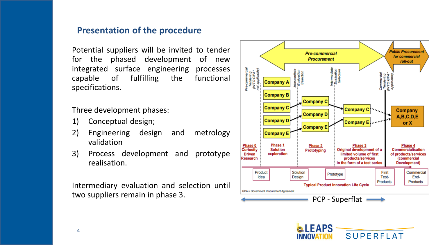#### **Presentation of the procedure**

Potential suppliers will be invited to tender for the phased development of new integrated surface engineering processes capable of fulfilling the functional specifications.

Three development phases:

- 1) Conceptual design;
- 2) Engineering design and metrology validation
- 3) Process development and prototype realisation.

Intermediary evaluation and selection until two suppliers remain in phase 3.



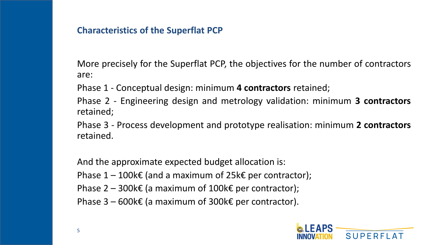#### **Characteristics of the Superflat PCP**

More precisely for the Superflat PCP, the objectives for the number of contractors are:

Phase 1 - Conceptual design: minimum **4 contractors** retained;

Phase 2 - Engineering design and metrology validation: minimum **3 contractors** retained;

Phase 3 - Process development and prototype realisation: minimum **2 contractors** retained.

And the approximate expected budget allocation is:

Phase  $1 - 100k \epsilon$  (and a maximum of 25k $\epsilon$  per contractor);

Phase  $2 - 300k \epsilon$  (a maximum of 100k $\epsilon$  per contractor);

Phase  $3 - 600k \epsilon$  (a maximum of 300k $\epsilon$  per contractor).

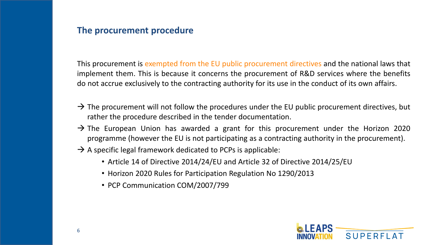This procurement is exempted from the EU public procurement directives and the national laws that implement them. This is because it concerns the procurement of R&D services where the benefits do not accrue exclusively to the contracting authority for its use in the conduct of its own affairs.

- $\rightarrow$  The procurement will not follow the procedures under the EU public procurement directives, but rather the procedure described in the tender documentation.
- $\rightarrow$  The European Union has awarded a grant for this procurement under the Horizon 2020 programme (however the EU is not participating as a contracting authority in the procurement).
- $\rightarrow$  A specific legal framework dedicated to PCPs is applicable:
	- Article 14 of Directive 2014/24/EU and Article 32 of Directive 2014/25/EU
	- Horizon 2020 Rules for Participation Regulation No 1290/2013
	- PCP Communication COM/2007/799

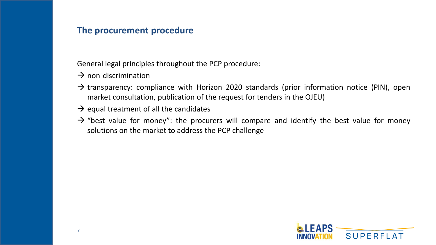General legal principles throughout the PCP procedure:

- $\rightarrow$  non-discrimination
- $\rightarrow$  transparency: compliance with Horizon 2020 standards (prior information notice (PIN), open market consultation, publication of the request for tenders in the OJEU)
- $\rightarrow$  equal treatment of all the candidates
- $\rightarrow$  "best value for money": the procurers will compare and identify the best value for money solutions on the market to address the PCP challenge

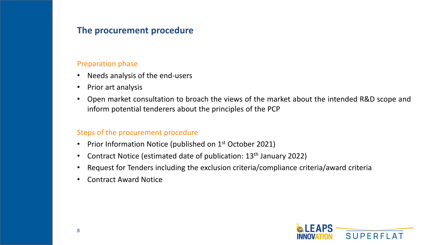#### Preparation phase

- Needs analysis of the end-users
- Prior art analysis
- Open market consultation to broach the views of the market about the intended R&D scope and inform potential tenderers about the principles of the PCP

#### Steps of the procurement procedure

- Prior Information Notice (published on 1<sup>st</sup> October 2021)
- Contract Notice (estimated date of publication: 13<sup>th</sup> January 2022)
- Request for Tenders including the exclusion criteria/compliance criteria/award criteria
- Contract Award Notice

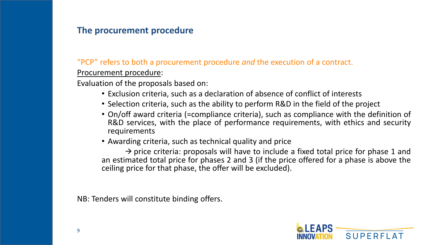"PCP" refers to both a procurement procedure *and* the execution of a contract.

Procurement procedure:

Evaluation of the proposals based on:

- Exclusion criteria, such as a declaration of absence of conflict of interests
- Selection criteria, such as the ability to perform R&D in the field of the project
- On/off award criteria (=compliance criteria), such as compliance with the definition of R&D services, with the place of performance requirements, with ethics and security requirements
- Awarding criteria, such as technical quality and price

 $\rightarrow$  price criteria: proposals will have to include a fixed total price for phase 1 and an estimated total price for phases 2 and 3 (if the price offered for a phase is above the ceiling price for that phase, the offer will be excluded).

NB: Tenders will constitute binding offers.

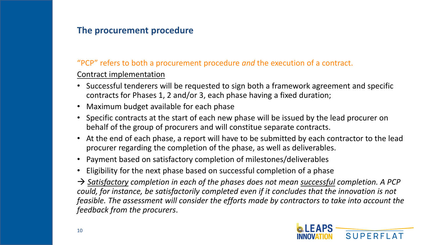#### "PCP" refers to both a procurement procedure *and* the execution of a contract.

#### Contract implementation

- Successful tenderers will be requested to sign both a framework agreement and specific contracts for Phases 1, 2 and/or 3, each phase having a fixed duration;
- Maximum budget available for each phase
- Specific contracts at the start of each new phase will be issued by the lead procurer on behalf of the group of procurers and will constitue separate contracts.
- At the end of each phase, a report will have to be submitted by each contractor to the lead procurer regarding the completion of the phase, as well as deliverables.
- Payment based on satisfactory completion of milestones/deliverables
- Eligibility for the next phase based on successful completion of a phase

→ *Satisfactory completion in each of the phases does not mean successful completion. A PCP could, for instance, be satisfactorily completed even if it concludes that the innovation is not feasible. The assessment will consider the efforts made by contractors to take into account the feedback from the procurers*.

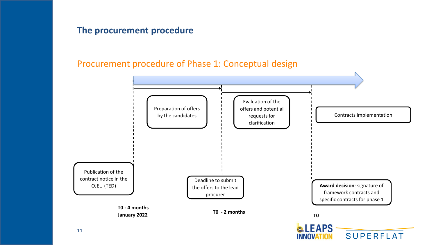#### Procurement procedure of Phase 1: Conceptual design

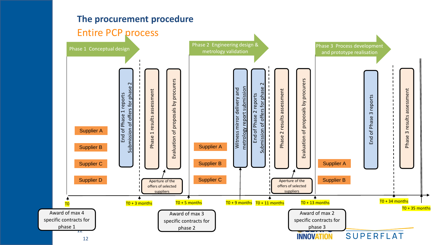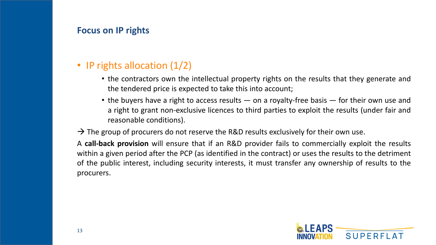#### **Focus on IP rights**

## • IP rights allocation (1/2)

- the contractors own the intellectual property rights on the results that they generate and the tendered price is expected to take this into account;
- the buyers have a right to access results on a royalty-free basis for their own use and a right to grant non-exclusive licences to third parties to exploit the results (under fair and reasonable conditions).

#### $\rightarrow$  The group of procurers do not reserve the R&D results exclusively for their own use.

A **call-back provision** will ensure that if an R&D provider fails to commercially exploit the results within a given period after the PCP (as identified in the contract) or uses the results to the detriment of the public interest, including security interests, it must transfer any ownership of results to the procurers.

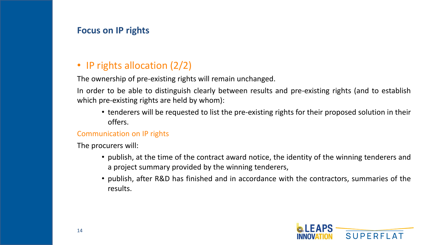#### **Focus on IP rights**

# • IP rights allocation (2/2)

The ownership of pre-existing rights will remain unchanged.

In order to be able to distinguish clearly between results and pre-existing rights (and to establish which pre-existing rights are held by whom):

• tenderers will be requested to list the pre-existing rights for their proposed solution in their offers.

#### Communication on IP rights

The procurers will:

- publish, at the time of the contract award notice, the identity of the winning tenderers and a project summary provided by the winning tenderers,
- publish, after R&D has finished and in accordance with the contractors, summaries of the results.

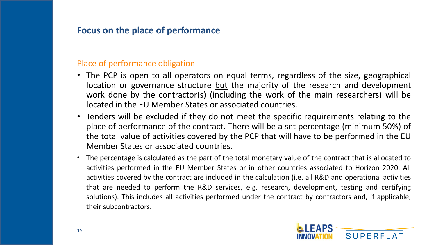#### **Focus on the place of performance**

#### Place of performance obligation

- The PCP is open to all operators on equal terms, regardless of the size, geographical location or governance structure but the majority of the research and development work done by the contractor(s) (including the work of the main researchers) will be located in the EU Member States or associated countries.
- Tenders will be excluded if they do not meet the specific requirements relating to the place of performance of the contract. There will be a set percentage (minimum 50%) of the total value of activities covered by the PCP that will have to be performed in the EU Member States or associated countries.
- The percentage is calculated as the part of the total monetary value of the contract that is allocated to activities performed in the EU Member States or in other countries associated to Horizon 2020. All activities covered by the contract are included in the calculation (i.e. all R&D and operational activities that are needed to perform the R&D services, e.g. research, development, testing and certifying solutions). This includes all activities performed under the contract by contractors and, if applicable, their subcontractors.